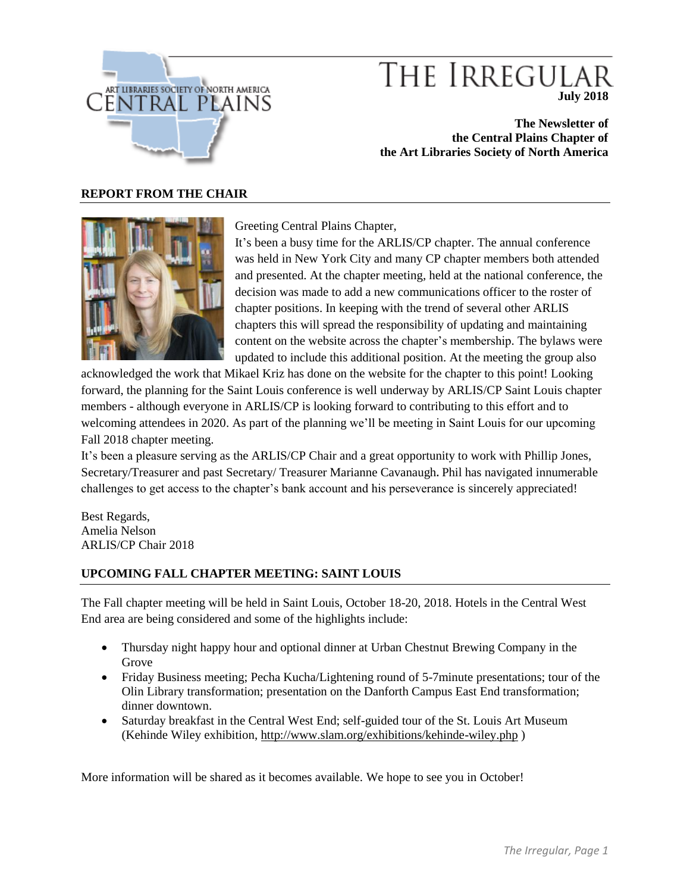

# THE IRREGULAT **July 2018**

**The Newsletter of the Central Plains Chapter of the Art Libraries Society of North America**

### **REPORT FROM THE CHAIR**



Greeting Central Plains Chapter,

It's been a busy time for the ARLIS/CP chapter. The annual conference was held in New York City and many CP chapter members both attended and presented. At the chapter meeting, held at the national conference, the decision was made to add a new communications officer to the roster of chapter positions. In keeping with the trend of several other ARLIS chapters this will spread the responsibility of updating and maintaining content on the website across the chapter's membership. The bylaws were updated to include this additional position. At the meeting the group also

acknowledged the work that Mikael Kriz has done on the website for the chapter to this point! Looking forward, the planning for the Saint Louis conference is well underway by ARLIS/CP Saint Louis chapter members - although everyone in ARLIS/CP is looking forward to contributing to this effort and to welcoming attendees in 2020. As part of the planning we'll be meeting in Saint Louis for our upcoming Fall 2018 chapter meeting.

It's been a pleasure serving as the ARLIS/CP Chair and a great opportunity to work with Phillip Jones, Secretary/Treasurer and past Secretary/ Treasurer Marianne Cavanaugh**.** Phil has navigated innumerable challenges to get access to the chapter's bank account and his perseverance is sincerely appreciated!

Best Regards, Amelia Nelson ARLIS/CP Chair 2018

## **UPCOMING FALL CHAPTER MEETING: SAINT LOUIS**

The Fall chapter meeting will be held in Saint Louis, October 18-20, 2018. Hotels in the Central West End area are being considered and some of the highlights include:

- Thursday night happy hour and optional dinner at Urban Chestnut Brewing Company in the Grove
- Friday Business meeting; Pecha Kucha/Lightening round of 5-7minute presentations; tour of the Olin Library transformation; presentation on the Danforth Campus East End transformation; dinner downtown.
- Saturday breakfast in the Central West End; self-guided tour of the St. Louis Art Museum (Kehinde Wiley exhibition,<http://www.slam.org/exhibitions/kehinde-wiley.php> )

More information will be shared as it becomes available. We hope to see you in October!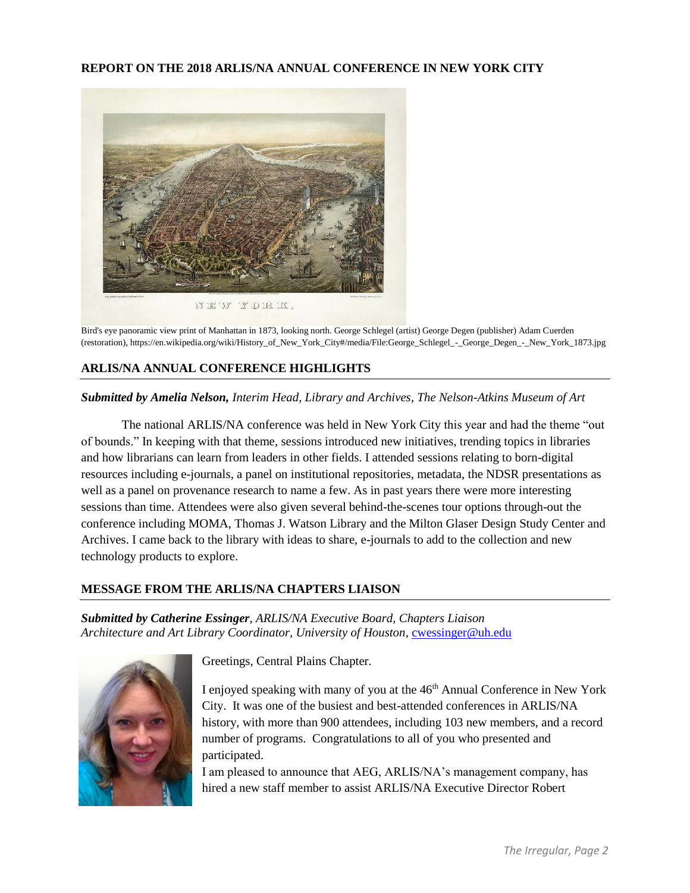## **REPORT ON THE 2018 ARLIS/NA ANNUAL CONFERENCE IN NEW YORK CITY**



Bird's eye panoramic view print of Manhattan in 1873, looking north. George Schlegel (artist) George Degen (publisher) Adam Cuerden (restoration), https://en.wikipedia.org/wiki/History\_of\_New\_York\_City#/media/File:George\_Schlegel\_-\_George\_Degen\_-\_New\_York\_1873.jpg

## **ARLIS/NA ANNUAL CONFERENCE HIGHLIGHTS**

#### *Submitted by Amelia Nelson, Interim Head, Library and Archives, The Nelson-Atkins Museum of Art*

The national ARLIS/NA conference was held in New York City this year and had the theme "out of bounds." In keeping with that theme, sessions introduced new initiatives, trending topics in libraries and how librarians can learn from leaders in other fields. I attended sessions relating to born-digital resources including e-journals, a panel on institutional repositories, metadata, the NDSR presentations as well as a panel on provenance research to name a few. As in past years there were more interesting sessions than time. Attendees were also given several behind-the-scenes tour options through-out the conference including MOMA, Thomas J. Watson Library and the Milton Glaser Design Study Center and Archives. I came back to the library with ideas to share, e-journals to add to the collection and new technology products to explore.

#### **MESSAGE FROM THE ARLIS/NA CHAPTERS LIAISON**

*Submitted by Catherine Essinger*, *ARLIS/NA Executive Board, Chapters Liaison* Architecture and Art Library Coordinator, University of Houston, [cwessinger@uh.edu](mailto:cwessinger@uh.edu)



Greetings, Central Plains Chapter.

I enjoyed speaking with many of you at the 46<sup>th</sup> Annual Conference in New York City. It was one of the busiest and best-attended conferences in ARLIS/NA history, with more than 900 attendees, including 103 new members, and a record number of programs. Congratulations to all of you who presented and participated.

I am pleased to announce that AEG, ARLIS/NA's management company, has hired a new staff member to assist ARLIS/NA Executive Director Robert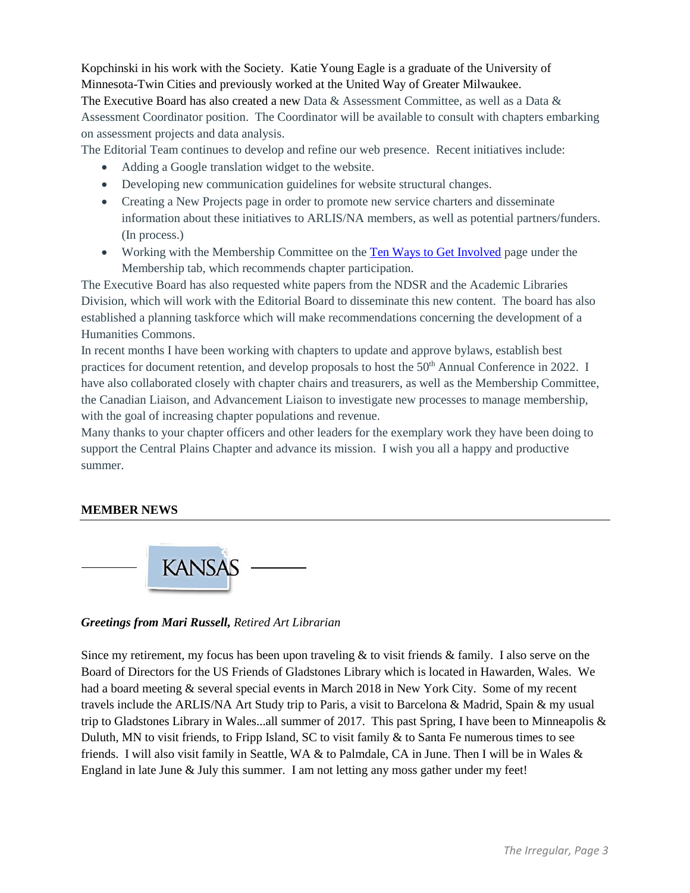Kopchinski in his work with the Society. Katie Young Eagle is a graduate of the University of Minnesota-Twin Cities and previously worked at the United Way of Greater Milwaukee.

The Executive Board has also created a new Data & Assessment Committee, as well as a Data & Assessment Coordinator position. The Coordinator will be available to consult with chapters embarking on assessment projects and data analysis.

The Editorial Team continues to develop and refine our web presence. Recent initiatives include:

- Adding a Google translation widget to the website.
- Developing new communication guidelines for website structural changes.
- Creating a New Projects page in order to promote new service charters and disseminate information about these initiatives to ARLIS/NA members, as well as potential partners/funders. (In process.)
- Working with the Membership Committee on the [Ten Ways to Get Involved](https://www.arlisna.org/membership/membership/1432-ten-ways-get-involved) page under the Membership tab, which recommends chapter participation.

The Executive Board has also requested white papers from the NDSR and the Academic Libraries Division, which will work with the Editorial Board to disseminate this new content. The board has also established a planning taskforce which will make recommendations concerning the development of a Humanities Commons.

In recent months I have been working with chapters to update and approve bylaws, establish best practices for document retention, and develop proposals to host the 50<sup>th</sup> Annual Conference in 2022. I have also collaborated closely with chapter chairs and treasurers, as well as the Membership Committee, the Canadian Liaison, and Advancement Liaison to investigate new processes to manage membership, with the goal of increasing chapter populations and revenue.

Many thanks to your chapter officers and other leaders for the exemplary work they have been doing to support the Central Plains Chapter and advance its mission. I wish you all a happy and productive summer.

## **MEMBER NEWS**



*Greetings from Mari Russell, Retired Art Librarian*

Since my retirement, my focus has been upon traveling  $\&$  to visit friends  $\&$  family. I also serve on the Board of Directors for the US Friends of Gladstones Library which is located in Hawarden, Wales. We had a board meeting & several special events in March 2018 in New York City. Some of my recent travels include the ARLIS/NA Art Study trip to Paris, a visit to Barcelona & Madrid, Spain & my usual trip to Gladstones Library in Wales...all summer of 2017. This past Spring, I have been to Minneapolis  $\&$ Duluth, MN to visit friends, to Fripp Island, SC to visit family & to Santa Fe numerous times to see friends. I will also visit family in Seattle, WA & to Palmdale, CA in June. Then I will be in Wales & England in late June & July this summer. I am not letting any moss gather under my feet!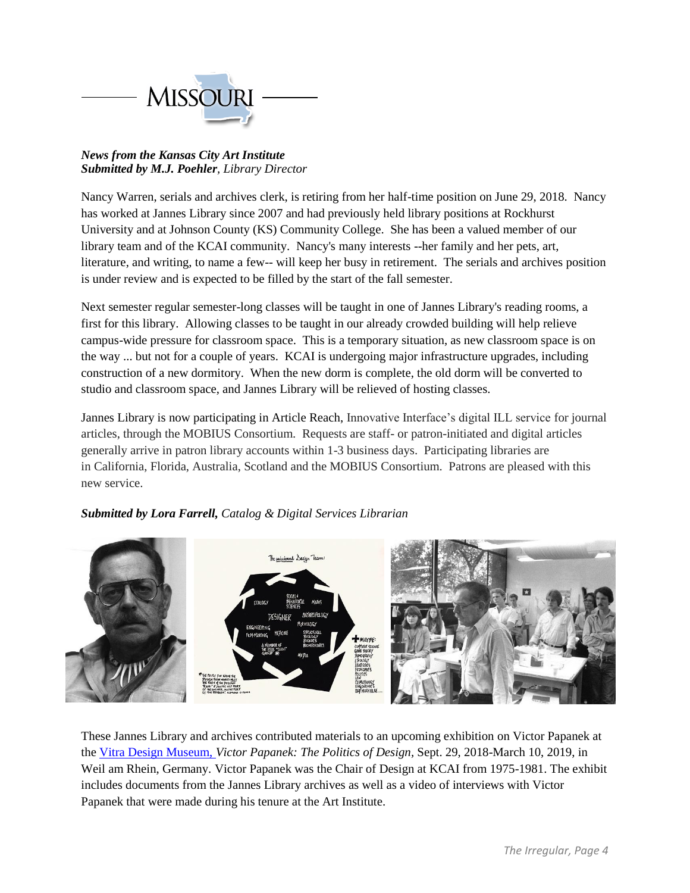

## *News from the Kansas City Art Institute Submitted by M.J. Poehler, Library Director*

Nancy Warren, serials and archives clerk, is retiring from her half-time position on June 29, 2018. Nancy has worked at Jannes Library since 2007 and had previously held library positions at Rockhurst University and at Johnson County (KS) Community College. She has been a valued member of our library team and of the KCAI community. Nancy's many interests --her family and her pets, art, literature, and writing, to name a few-- will keep her busy in retirement. The serials and archives position is under review and is expected to be filled by the start of the fall semester.

Next semester regular semester-long classes will be taught in one of Jannes Library's reading rooms, a first for this library. Allowing classes to be taught in our already crowded building will help relieve campus-wide pressure for classroom space. This is a temporary situation, as new classroom space is on the way ... but not for a couple of years. KCAI is undergoing major infrastructure upgrades, including construction of a new dormitory. When the new dorm is complete, the old dorm will be converted to studio and classroom space, and Jannes Library will be relieved of hosting classes.

Jannes Library is now participating in Article Reach, Innovative Interface's digital ILL service for journal articles, through the MOBIUS Consortium. Requests are staff- or patron-initiated and digital articles generally arrive in patron library accounts within 1-3 business days. Participating libraries are in California, Florida, Australia, Scotland and the MOBIUS Consortium. Patrons are pleased with this new service.

## *Submitted by Lora Farrell, Catalog & Digital Services Librarian*



These Jannes Library and archives contributed materials to an upcoming exhibition on Victor Papanek at the [Vitra Design Museum,](https://www.design-museum.de/en/exhibitions/preview.html) *Victor Papanek: The Politics of Design,* Sept. 29, 2018-March 10, 2019, in Weil am Rhein, Germany. Victor Papanek was the Chair of Design at KCAI from 1975-1981. The exhibit includes documents from the Jannes Library archives as well as a video of interviews with Victor Papanek that were made during his tenure at the Art Institute.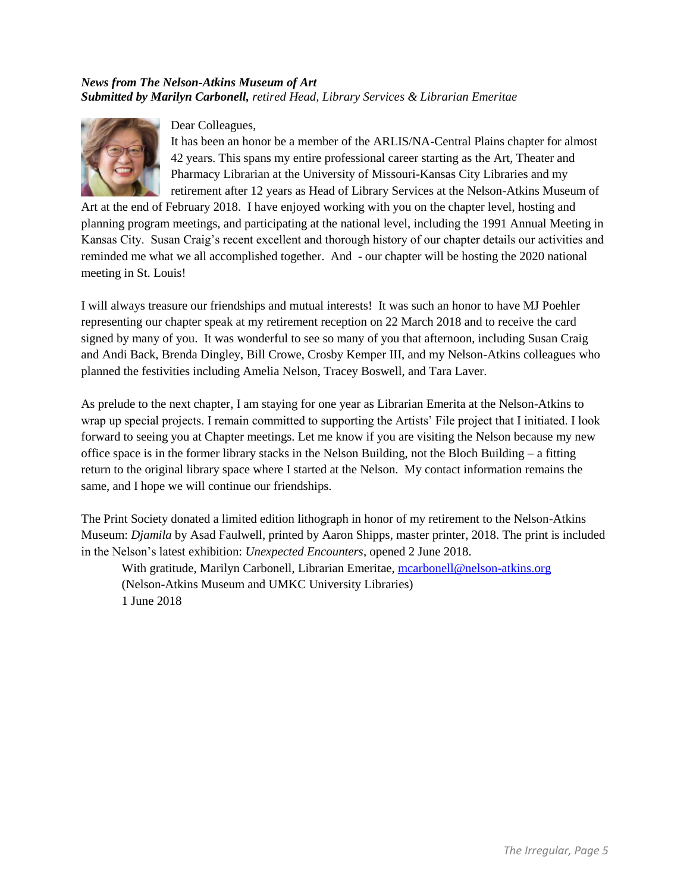## *News from The Nelson-Atkins Museum of Art Submitted by Marilyn Carbonell, retired Head, Library Services & Librarian Emeritae*



Dear Colleagues,

It has been an honor be a member of the ARLIS/NA-Central Plains chapter for almost 42 years. This spans my entire professional career starting as the Art, Theater and Pharmacy Librarian at the University of Missouri-Kansas City Libraries and my retirement after 12 years as Head of Library Services at the Nelson-Atkins Museum of

Art at the end of February 2018. I have enjoyed working with you on the chapter level, hosting and planning program meetings, and participating at the national level, including the 1991 Annual Meeting in Kansas City. Susan Craig's recent excellent and thorough history of our chapter details our activities and reminded me what we all accomplished together. And - our chapter will be hosting the 2020 national meeting in St. Louis!

I will always treasure our friendships and mutual interests! It was such an honor to have MJ Poehler representing our chapter speak at my retirement reception on 22 March 2018 and to receive the card signed by many of you. It was wonderful to see so many of you that afternoon, including Susan Craig and Andi Back, Brenda Dingley, Bill Crowe, Crosby Kemper III, and my Nelson-Atkins colleagues who planned the festivities including Amelia Nelson, Tracey Boswell, and Tara Laver.

As prelude to the next chapter, I am staying for one year as Librarian Emerita at the Nelson-Atkins to wrap up special projects. I remain committed to supporting the Artists' File project that I initiated. I look forward to seeing you at Chapter meetings. Let me know if you are visiting the Nelson because my new office space is in the former library stacks in the Nelson Building, not the Bloch Building – a fitting return to the original library space where I started at the Nelson. My contact information remains the same, and I hope we will continue our friendships.

The Print Society donated a limited edition lithograph in honor of my retirement to the Nelson-Atkins Museum: *Djamila* by Asad Faulwell, printed by Aaron Shipps, master printer, 2018. The print is included in the Nelson's latest exhibition: *Unexpected Encounters*, opened 2 June 2018.

With gratitude, Marilyn Carbonell, Librarian Emeritae, [mcarbonell@nelson-atkins.org](mailto:mcarbonell@nelson-atkins.org) (Nelson-Atkins Museum and UMKC University Libraries) 1 June 2018